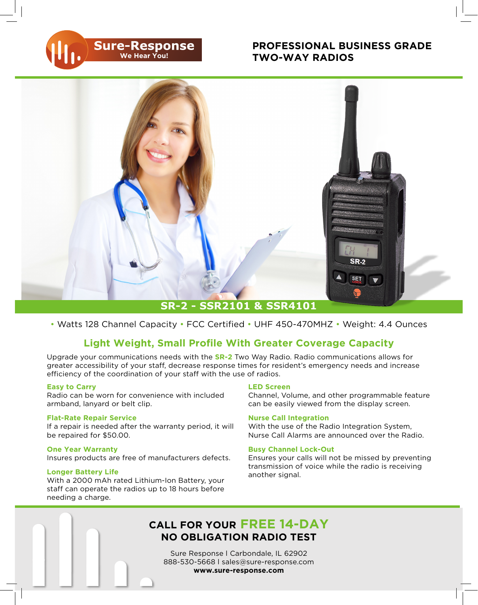### **PROFESSIONAL BUSINESS GRADE TWO-WAY RADIOS**



• Watts 128 Channel Capacity • FCC Certified • UHF 450-470MHZ • Weight: 4.4 Ounces

## **Light Weight, Small Profile With Greater Coverage Capacity**

Upgrade your communications needs with the **SR-2** Two Way Radio. Radio communications allows for greater accessibility of your staff, decrease response times for resident's emergency needs and increase efficiency of the coordination of your staff with the use of radios.

#### **Easy to Carry**

Radio can be worn for convenience with included armband, lanyard or belt clip.

**Sure-Response** 

#### **Flat-Rate Repair Service**

If a repair is needed after the warranty period, it will be repaired for \$50.00.

#### **One Year Warranty**

Insures products are free of manufacturers defects.

#### **Longer Battery Life**

With a 2000 mAh rated Lithium-Ion Battery, your staff can operate the radios up to 18 hours before needing a charge.

#### **LED Screen**

Channel, Volume, and other programmable feature can be easily viewed from the display screen.

#### **Nurse Call Integration**

With the use of the Radio Integration System, Nurse Call Alarms are announced over the Radio.

#### **Busy Channel Lock-Out**

Ensures your calls will not be missed by preventing transmission of voice while the radio is receiving another signal.

# **CALL FOR YOUR FREE 14-DAY NO OBLIGATION RADIO TEST**

Sure Response l Carbondale, IL 62902 888-530-5668 l sales@sure-response.com **www.sure-response.com**